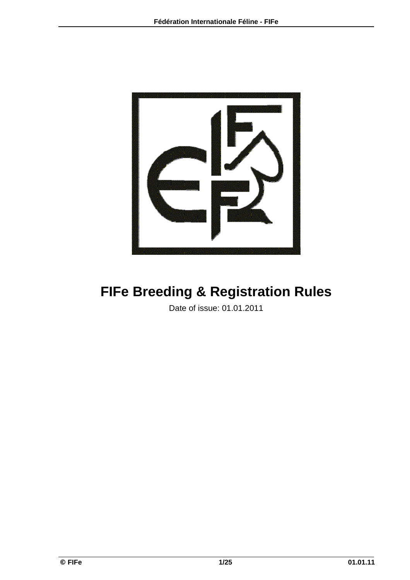

# **FIFe Breeding & Registration Rules**

Date of issue: 01.01.2011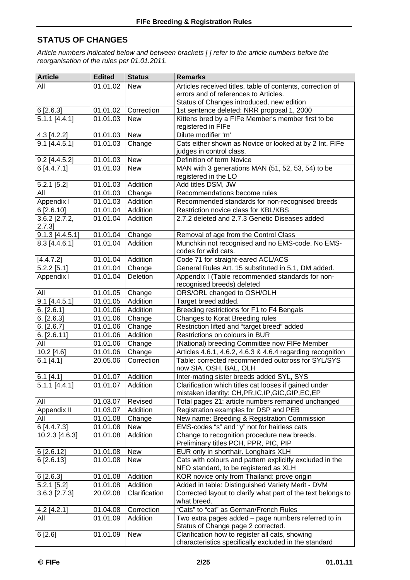# **STATUS OF CHANGES**

*Article numbers indicated below and between brackets [ ] refer to the article numbers before the reorganisation of the rules per 01.01.2011.* 

| <b>Article</b>          | <b>Edited</b> | <b>Status</b>        | <b>Remarks</b>                                                                       |  |
|-------------------------|---------------|----------------------|--------------------------------------------------------------------------------------|--|
| All                     | 01.01.02      | <b>New</b>           | Articles received titles, table of contents, correction of                           |  |
|                         |               |                      | errors and of references to Articles.                                                |  |
|                         |               |                      | Status of Changes introduced, new edition                                            |  |
| 6[2.6.3]                | 01.01.02      | Correction           | 1st sentence deleted: NRR proposal 1, 2000                                           |  |
| $5.1.1$ [4.4.1]         | 01.01.03      | <b>New</b>           | Kittens bred by a FIFe Member's member first to be                                   |  |
|                         |               |                      | registered in FIFe                                                                   |  |
| 4.3 [4.2.2]             | 01.01.03      | <b>New</b>           | Dilute modifier 'm'                                                                  |  |
| 9.1 [4.4.5.1]           | 01.01.03      | Change               | Cats either shown as Novice or looked at by 2 Int. FIFe                              |  |
|                         |               |                      | judges in control class.                                                             |  |
| 9.2 [4.4.5.2]           | 01.01.03      | <b>New</b>           | Definition of term Novice                                                            |  |
| 6 [4.4.7.1]             | 01.01.03      | <b>New</b>           | MAN with 3 generations MAN (51, 52, 53, 54) to be                                    |  |
|                         |               |                      | registered in the LO                                                                 |  |
| 5.2.1 [5.2]             | 01.01.03      | Addition             | Add titles DSM, JW                                                                   |  |
| All                     | 01.01.03      | Change               | Recommendations become rules                                                         |  |
| Appendix I              | 01.01.03      | Addition             | Recommended standards for non-recognised breeds                                      |  |
| 6 [2.6.10]              | 01.01.04      | Addition<br>Addition | Restriction novice class for KBL/KBS                                                 |  |
| 3.6.2 [2.7.2,<br>2.7.3] | 01.01.04      |                      | 2.7.2 deleted and 2.7.3 Genetic Diseases added                                       |  |
| $9.1.3$ [4.4.5.1]       | 01.01.04      | Change               | Removal of age from the Control Class                                                |  |
| 8.3 [4.4.6.1]           | 01.01.04      | Addition             | Munchkin not recognised and no EMS-code. No EMS-                                     |  |
|                         |               |                      | codes for wild cats.                                                                 |  |
| [4.4.7.2]               | 01.01.04      | Addition             | Code 71 for straight-eared ACL/ACS                                                   |  |
| $5.2.2$ [5.1]           | 01.01.04      | Change               | General Rules Art. 15 substituted in 5.1, DM added.                                  |  |
| Appendix I              | 01.01.04      | Deletion             | Appendix I (Table recommended standards for non-                                     |  |
|                         |               |                      | recognised breeds) deleted                                                           |  |
| All                     | 01.01.05      | Change               | ORS/ORL changed to OSH/OLH                                                           |  |
| $9.1$ [4.4.5.1]         | 01.01.05      | Addition             | Target breed added.                                                                  |  |
| 6. [2.6.1]              | 01.01.06      | Addition             | Breeding restrictions for F1 to F4 Bengals                                           |  |
| 6. [2.6.3]              | 01.01.06      | Change               | Changes to Korat Breeding rules                                                      |  |
| 6. [2.6.7]              | 01.01.06      | Change               | Restriction lifted and "target breed" added                                          |  |
| 6. [2.6.11]             | 01.01.06      | Addition             | Restrictions on colours in BUR                                                       |  |
| All                     | 01.01.06      | Change               | (National) breeding Committee now FIFe Member                                        |  |
| 10.2 [4.6]              | 01.01.06      | Change               | Articles 4.6.1, 4.6.2, 4.6.3 & 4.6.4 regarding recognition                           |  |
| 6.1 [4.1]               | 20.05.06      | Correction           | Table: corrected recommended outcross for SYL/SYS<br>now SIA, OSH, BAL, OLH          |  |
| 6.1 [4.1]               | 01.01.07      | Addition             | Inter-mating sister breeds added SYL, SYS                                            |  |
| $5.1.1$ [4.4.1]         | 01.01.07      | Addition             | Clarification which titles cat looses if gained under                                |  |
|                         |               |                      | mistaken identity: CH,PR,IC,IP,GIC,GIP,EC,EP                                         |  |
| All                     | 01.03.07      | Revised              | Total pages 21: article numbers remained unchanged                                   |  |
| Appendix II             | 01.03.07      | Addition             | Registration examples for DSP and PEB                                                |  |
| All                     | 01.01.08      | Change               | New name: Breeding & Registration Commission                                         |  |
| 6 [4.4.7.3]             | 01.01.08      | <b>New</b>           | EMS-codes "s" and "y" not for hairless cats                                          |  |
| 10.2.3 [4.6.3]          | 01.01.08      | Addition             | Change to recognition procedure new breeds.<br>Preliminary titles PCH, PPR, PIC, PIP |  |
| 6 [2.6.12]              | 01.01.08      | <b>New</b>           | EUR only in shorthair. Longhairs XLH                                                 |  |
| 6 [2.6.13]              | 01.01.08      | <b>New</b>           | Cats with colours and pattern explicitly excluded in the                             |  |
|                         |               |                      | NFO standard, to be registered as XLH                                                |  |
| 6[2.6.3]                | 01.01.08      | Addition             | KOR novice only from Thailand: prove origin                                          |  |
| $5.2.1$ [5.2]           | 01.01.08      | Addition             | Added in table: Distinguished Variety Merit - DVM                                    |  |
| $3.6.3$ [2.7.3]         | 20.02.08      | Clarification        | Corrected layout to clarify what part of the text belongs to<br>what breed.          |  |
| 4.2 [4.2.1]             | 01.04.08      | Correction           | "Cats" to "cat" as German/French Rules                                               |  |
| All                     | 01.01.09      | Addition             | Two extra pages added - page numbers referred to in                                  |  |
|                         |               |                      | Status of Change page 2 corrected.                                                   |  |
| 6[2.6]                  | 01.01.09      | <b>New</b>           | Clarification how to register all cats, showing                                      |  |
|                         |               |                      | characteristics specifically excluded in the standard                                |  |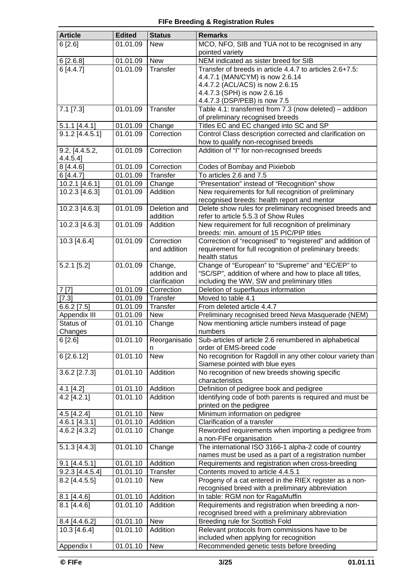| <b>Article</b>                       | <b>Edited</b>         | <b>Status</b>          | <b>Remarks</b>                                                                                      |  |
|--------------------------------------|-----------------------|------------------------|-----------------------------------------------------------------------------------------------------|--|
| 6[2.6]                               | 01.01.09              | <b>New</b>             | MCO, NFO, SIB and TUA not to be recognised in any                                                   |  |
|                                      |                       |                        | pointed variety                                                                                     |  |
| 6[2.6.8]                             | 01.01.09              | <b>New</b>             | NEM indicated as sister breed for SIB                                                               |  |
| 6[4.4.7]                             | 01.01.09              | Transfer               | Transfer of breeds in article 4.4.7 to articles 2.6+7.5:                                            |  |
|                                      |                       |                        | 4.4.7.1 (MAN/CYM) is now 2.6.14                                                                     |  |
|                                      |                       |                        | 4.4.7.2 (ACL/ACS) is now 2.6.15                                                                     |  |
|                                      |                       |                        | 4.4.7.3 (SPH) is now 2.6.16                                                                         |  |
|                                      |                       |                        | 4.4.7.3 (DSP/PEB) is now 7.5                                                                        |  |
| $7.1$ $[7.3]$                        | 01.01.09              | Transfer               | Table 4.1: transferred from 7.3 (now deleted) - addition                                            |  |
|                                      |                       |                        | of preliminary recognised breeds                                                                    |  |
| $5.1.1$ [4.4.1]<br>$9.1.2$ [4.4.5.1] | 01.01.09<br>01.01.09  | Change<br>Correction   | Titles EC and EC changed into SC and SP<br>Control Class description corrected and clarification on |  |
|                                      |                       |                        | how to qualify non-recognised breeds                                                                |  |
| 9.2, [4.4.5.2,                       | 01.01.09              | Correction             | Addition of "I" for non-recognised breeds                                                           |  |
| 4.4.5.4                              |                       |                        |                                                                                                     |  |
| 8 [4.4.6]                            | 01.01.09              | Correction             | Codes of Bombay and Pixiebob                                                                        |  |
| 6[4.4.7]                             | 01.01.09              | Transfer               | To articles 2.6 and 7.5                                                                             |  |
| 10.2.1 [4.6.1]                       | 01.01.09              | Change                 | "Presentation" instead of "Recognition" show                                                        |  |
| 10.2.3 [4.6.3]                       | 01.01.09              | Addition               | New requirements for full recognition of preliminary                                                |  |
|                                      |                       |                        | recognised breeds: health report and mentor                                                         |  |
| 10.2.3 [4.6.3]                       | 01.01.09              | Deletion and           | Delete show rules for preliminary recognised breeds and                                             |  |
|                                      |                       | addition               | refer to article 5.5.3 of Show Rules                                                                |  |
| 10.2.3 [4.6.3]                       | 01.01.09              | Addition               | New requirement for full recognition of preliminary                                                 |  |
|                                      |                       |                        | breeds: min. amount of 15 PIC/PIP titles                                                            |  |
| 10.3 [4.6.4]                         | 01.01.09              | Correction             | Correction of "recognised" to "registered" and addition of                                          |  |
|                                      |                       | and addition           | requirement for full recognition of preliminary breeds:                                             |  |
|                                      |                       |                        | health status                                                                                       |  |
| $5.2.1$ [5.2]                        | 01.01.09              | Change,                | Change of "European" to "Supreme" and "EC/EP" to                                                    |  |
|                                      |                       | addition and           | "SC/SP", addition of where and how to place all titles,                                             |  |
|                                      |                       | clarification          | including the WW, SW and preliminary titles                                                         |  |
| 7[7]                                 | 01.01.09              | Correction             | Deletion of superfluous information                                                                 |  |
| [7.3]                                | 01.01.09              | Transfer               | Moved to table 4.1                                                                                  |  |
| $6.6.2$ [7.5]                        | 01.01.09              | Transfer               | From deleted article 4.4.7                                                                          |  |
| Appendix III                         | 01.01.09              | <b>New</b>             | Preliminary recognised breed Neva Masquerade (NEM)                                                  |  |
| Status of                            | 01.01.10              | Change                 | Now mentioning article numbers instead of page                                                      |  |
| Changes<br>6[2.6]                    |                       | 01.01.10 Reorganisatio | numbers<br>Sub-articles of article 2.6 renumbered in alphabetical                                   |  |
|                                      |                       |                        | order of EMS-breed code                                                                             |  |
| 6 [2.6.12]                           | 01.01.10              | n<br><b>New</b>        | No recognition for Ragdoll in any other colour variety than                                         |  |
|                                      |                       |                        | Siamese pointed with blue eyes                                                                      |  |
| $3.6.2$ [2.7.3]                      | 01.01.10              | Addition               | No recognition of new breeds showing specific                                                       |  |
|                                      |                       |                        | characteristics                                                                                     |  |
| 4.1 [4.2]                            | 01.01.10              | Addition               | Definition of pedigree book and pedigree                                                            |  |
| 4.2 $[4.2.1]$                        | 01.01.10              | Addition               | Identifying code of both parents is required and must be                                            |  |
|                                      |                       |                        | printed on the pedigree                                                                             |  |
| $4.5$ [4.2.4]                        | 01.01.10              | <b>New</b>             | Minimum information on pedigree                                                                     |  |
| 4.6.1 [4.3.1]                        | 01.01.10              | Addition               | Clarification of a transfer                                                                         |  |
| 4.6.2 [4.3.2]                        | 01.01.10              | Change                 | Reworded requirements when importing a pedigree from                                                |  |
|                                      |                       |                        | a non-FIFe organisation                                                                             |  |
| $5.1.3$ [4.4.3]                      | $\overline{0}1.01.10$ | Change                 | The international ISO 3166-1 alpha-2 code of country                                                |  |
|                                      |                       |                        | names must be used as a part of a registration number                                               |  |
| 9.1 [4.4.5.1]                        | 01.01.10              | Addition               | Requirements and registration when cross-breeding                                                   |  |
| $9.2.3$ [4.4.5.4]                    | 01.01.10              | Transfer               | Contents moved to article 4.4.5.1                                                                   |  |
| 8.2 [4.4.5.5]                        | 01.01.10              | <b>New</b>             | Progeny of a cat entered in the RIEX register as a non-                                             |  |
|                                      |                       |                        | recognised breed with a preliminary abbreviation                                                    |  |
| 8.1 [4.4.6]                          | 01.01.10              | Addition               | In table: RGM non for RagaMuffin                                                                    |  |
| $8.1$ [4.4.6]                        | 01.01.10              | Addition               | Requirements and registration when breeding a non-                                                  |  |
|                                      |                       |                        | recognised breed with a preliminary abbreviation                                                    |  |
| 8.4 [4.4.6.2]                        | 01.01.10              | <b>New</b>             | Breeding rule for Scottish Fold                                                                     |  |
| $10.3$ [4.6.4]                       | 01.01.10              | Addition               | Relevant protocols from commissions have to be                                                      |  |
|                                      |                       |                        | included when applying for recognition                                                              |  |
| Appendix I                           | 01.01.10              | <b>New</b>             | Recommended genetic tests before breeding                                                           |  |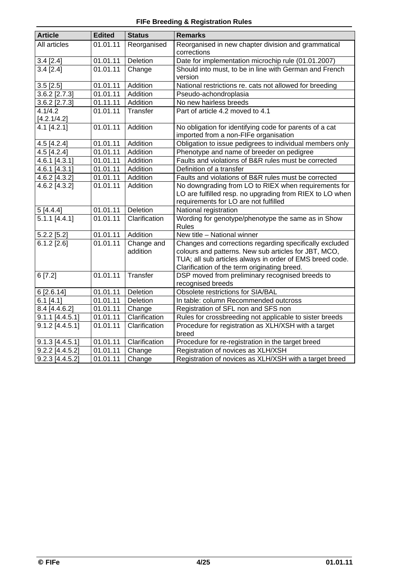# **FIFe Breeding & Registration Rules**

| <b>Article</b>         | <b>Edited</b>         | <b>Status</b>          | <b>Remarks</b>                                                                                                                                                                                                              |  |
|------------------------|-----------------------|------------------------|-----------------------------------------------------------------------------------------------------------------------------------------------------------------------------------------------------------------------------|--|
| All articles           | 01.01.11              | Reorganised            | Reorganised in new chapter division and grammatical<br>corrections                                                                                                                                                          |  |
| 3.4 [2.4]              | 01.01.11              | <b>Deletion</b>        | Date for implementation microchip rule (01.01.2007)                                                                                                                                                                         |  |
| 3.4 [2.4]              | 01.01.11              | Change                 | Should into must, to be in line with German and French<br>version                                                                                                                                                           |  |
| $3.5$ [ $2.5$ ]        | 01.01.11              | Addition               | National restrictions re. cats not allowed for breeding                                                                                                                                                                     |  |
| 3.6.2 [2.7.3]          | 01.01.11              | Addition               | Pseudo-achondroplasia                                                                                                                                                                                                       |  |
| 3.6.2 [2.7.3]          | $\overline{0}1.11.11$ | Addition               | No new hairless breeds                                                                                                                                                                                                      |  |
| 4.1/4.2<br>[4.2.1/4.2] | 01.01.11              | Transfer               | Part of article 4.2 moved to 4.1                                                                                                                                                                                            |  |
| 4.1 [4.2.1]            | 01.01.11              | Addition               | No obligation for identifying code for parents of a cat<br>imported from a non-FIFe organisation                                                                                                                            |  |
| 4.5 [4.2.4]            | 01.01.11              | Addition               | Obligation to issue pedigrees to individual members only                                                                                                                                                                    |  |
| $4.5$ [4.2.4]          | 01.01.11              | Addition               | Phenotype and name of breeder on pedigree                                                                                                                                                                                   |  |
| 4.6.1 [4.3.1]          | 01.01.11              | Addition               | Faults and violations of B&R rules must be corrected                                                                                                                                                                        |  |
| 4.6.1 [4.3.1]          | 01.01.11              | Addition               | Definition of a transfer                                                                                                                                                                                                    |  |
| 4.6.2 [4.3.2]          | 01.01.11              | Addition               | Faults and violations of B&R rules must be corrected                                                                                                                                                                        |  |
| 4.6.2 [4.3.2]          | 01.01.11              | Addition               | No downgrading from LO to RIEX when requirements for<br>LO are fulfilled resp. no upgrading from RIEX to LO when<br>requirements for LO are not fulfilled                                                                   |  |
| 5[4.4.4]               | 01.01.11              | Deletion               | National registration                                                                                                                                                                                                       |  |
| $5.1.1$ [4.4.1]        | 01.01.11              | Clarification          | Wording for genotype/phenotype the same as in Show<br><b>Rules</b>                                                                                                                                                          |  |
| $5.2.2$ [5.2]          | 01.01.11              | Addition               | New title - National winner                                                                                                                                                                                                 |  |
| $6.1.2$ [2.6]          | 01.01.11              | Change and<br>addition | Changes and corrections regarding specifically excluded<br>colours and patterns. New sub articles for JBT, MCO,<br>TUA; all sub articles always in order of EMS breed code.<br>Clarification of the term originating breed. |  |
| 6[7.2]                 | 01.01.11              | Transfer               | DSP moved from preliminary recognised breeds to<br>recognised breeds                                                                                                                                                        |  |
| 6 [2.6.14]             | 01.01.11              | Deletion               | Obsolete restrictions for SIA/BAL                                                                                                                                                                                           |  |
| 6.1 [4.1]              | 01.01.11              | Deletion               | In table: column Recommended outcross                                                                                                                                                                                       |  |
| 8.4 [4.4.6.2]          | 01.01.11              | Change                 | Registration of SFL non and SFS non                                                                                                                                                                                         |  |
| $9.1.1$ [4.4.5.1]      | 01.01.11              | Clarification          | Rules for crossbreeding not applicable to sister breeds                                                                                                                                                                     |  |
| $9.1.2$ [4.4.5.1]      | 01.01.11              | Clarification          | Procedure for registration as XLH/XSH with a target<br>breed                                                                                                                                                                |  |
| $9.1.3$ [4.4.5.1]      | 01.01.11              | Clarification          | Procedure for re-registration in the target breed                                                                                                                                                                           |  |
| $9.2.2$ [4.4.5.2]      | 01.01.11              | Change                 | Registration of novices as XLH/XSH                                                                                                                                                                                          |  |
| $9.2.3$ [4.4.5.2]      | 01.01.11              | Change                 | Registration of novices as XLH/XSH with a target breed                                                                                                                                                                      |  |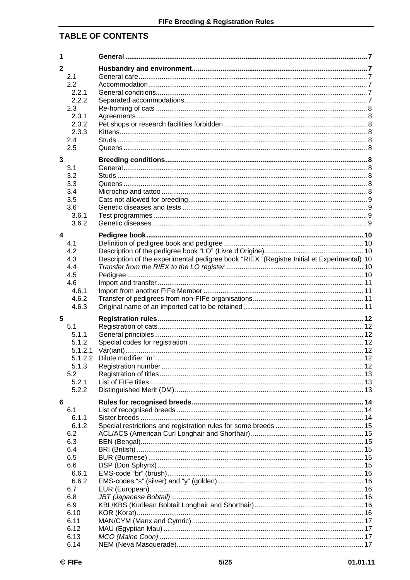# **TABLE OF CONTENTS**

| 1                       |                |                                                                                            |  |
|-------------------------|----------------|--------------------------------------------------------------------------------------------|--|
| $\mathbf{2}$            |                |                                                                                            |  |
| 2.1                     |                |                                                                                            |  |
|                         | 2.2<br>2.2.1   |                                                                                            |  |
|                         | 2.2.2          |                                                                                            |  |
|                         | 2.3            |                                                                                            |  |
|                         | 2.3.1          |                                                                                            |  |
|                         | 2.3.2          |                                                                                            |  |
|                         | 2.3.3          |                                                                                            |  |
|                         | 2.4<br>2.5     |                                                                                            |  |
|                         |                |                                                                                            |  |
| 3                       |                |                                                                                            |  |
|                         | 3.1<br>3.2     |                                                                                            |  |
|                         | 3.3            |                                                                                            |  |
|                         | 3.4            |                                                                                            |  |
|                         | 3.5            |                                                                                            |  |
|                         | 3.6            |                                                                                            |  |
|                         | 3.6.1          |                                                                                            |  |
|                         | 3.6.2          |                                                                                            |  |
| $\overline{\mathbf{4}}$ |                |                                                                                            |  |
|                         | 4.1            |                                                                                            |  |
|                         | 4.2<br>4.3     | Description of the experimental pedigree book "RIEX" (Registre Initial et Experimental) 10 |  |
|                         | 4.4            |                                                                                            |  |
|                         | 4.5            |                                                                                            |  |
|                         | 4.6            |                                                                                            |  |
|                         | 4.6.1          |                                                                                            |  |
|                         | 4.6.2<br>4.6.3 |                                                                                            |  |
|                         |                |                                                                                            |  |
| 5                       |                |                                                                                            |  |
|                         | 5.1<br>5.1.1   |                                                                                            |  |
|                         | 5.1.2          |                                                                                            |  |
|                         | 5.1.2.1        |                                                                                            |  |
|                         | 5.1.2.2        | Dilute modifier "m"                                                                        |  |
|                         | 5.1.3          |                                                                                            |  |
|                         | 5.2<br>5.2.1   |                                                                                            |  |
|                         | 5.2.2          |                                                                                            |  |
|                         |                |                                                                                            |  |
| 6                       | 6.1            |                                                                                            |  |
|                         | 6.1.1          |                                                                                            |  |
|                         | 6.1.2          |                                                                                            |  |
|                         | 6.2            |                                                                                            |  |
|                         | 6.3            |                                                                                            |  |
|                         | 6.4<br>6.5     |                                                                                            |  |
|                         | 6.6            |                                                                                            |  |
|                         | 6.6.1          |                                                                                            |  |
|                         | 6.6.2          |                                                                                            |  |
|                         | 6.7            |                                                                                            |  |
|                         | 6.8            |                                                                                            |  |
|                         | 6.9<br>6.10    |                                                                                            |  |
|                         | 6.11           |                                                                                            |  |
|                         | 6.12           |                                                                                            |  |
|                         | 6.13           |                                                                                            |  |
|                         | 6.14           |                                                                                            |  |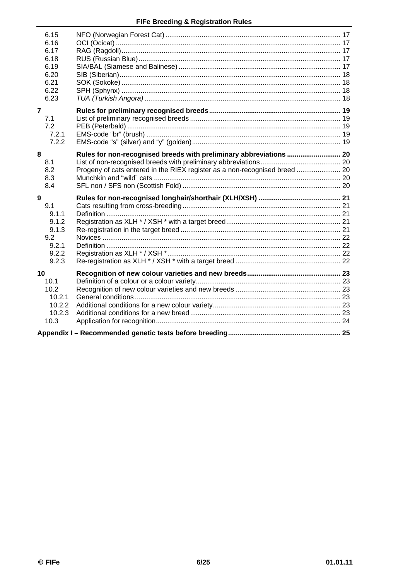| 6.15<br>6.16<br>6.17<br>6.18<br>6.19<br>6.20<br>6.21<br>6.22<br>6.23  |                                                                                                                                                  |  |
|-----------------------------------------------------------------------|--------------------------------------------------------------------------------------------------------------------------------------------------|--|
| $\overline{7}$<br>7.1<br>7.2<br>7.2.1<br>7.2.2                        |                                                                                                                                                  |  |
| 8<br>8.1<br>8.2<br>8.3<br>8.4                                         | Rules for non-recognised breeds with preliminary abbreviations  20<br>Progeny of cats entered in the RIEX register as a non-recognised breed  20 |  |
| 9<br>9.1<br>9.1.1<br>9.1.2<br>9.1.3<br>9.2<br>9.2.1<br>9.2.2<br>9.2.3 |                                                                                                                                                  |  |
| 10<br>10.1<br>10.2<br>10.2.1<br>10.2.2<br>10.2.3<br>10.3              |                                                                                                                                                  |  |
|                                                                       |                                                                                                                                                  |  |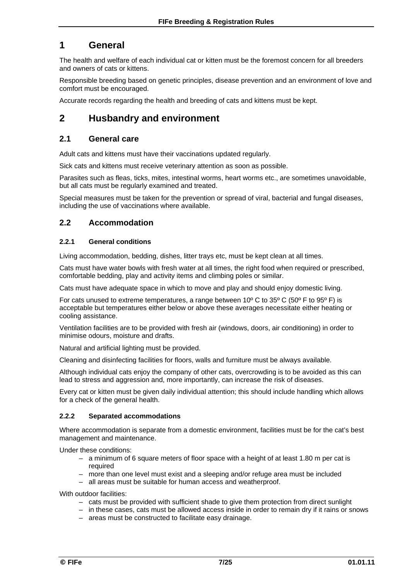# **1 General**

The health and welfare of each individual cat or kitten must be the foremost concern for all breeders and owners of cats or kittens.

Responsible breeding based on genetic principles, disease prevention and an environment of love and comfort must be encouraged.

Accurate records regarding the health and breeding of cats and kittens must be kept.

# **2 Husbandry and environment**

# **2.1 General care**

Adult cats and kittens must have their vaccinations updated regularly.

Sick cats and kittens must receive veterinary attention as soon as possible.

Parasites such as fleas, ticks, mites, intestinal worms, heart worms etc., are sometimes unavoidable, but all cats must be regularly examined and treated.

Special measures must be taken for the prevention or spread of viral, bacterial and fungal diseases, including the use of vaccinations where available.

# **2.2 Accommodation**

#### **2.2.1 General conditions**

Living accommodation, bedding, dishes, litter trays etc, must be kept clean at all times.

Cats must have water bowls with fresh water at all times, the right food when required or prescribed, comfortable bedding, play and activity items and climbing poles or similar.

Cats must have adequate space in which to move and play and should enjoy domestic living.

For cats unused to extreme temperatures, a range between 10º C to 35º C (50º F to 95º F) is acceptable but temperatures either below or above these averages necessitate either heating or cooling assistance.

Ventilation facilities are to be provided with fresh air (windows, doors, air conditioning) in order to minimise odours, moisture and drafts.

Natural and artificial lighting must be provided.

Cleaning and disinfecting facilities for floors, walls and furniture must be always available.

Although individual cats enjoy the company of other cats, overcrowding is to be avoided as this can lead to stress and aggression and, more importantly, can increase the risk of diseases.

Every cat or kitten must be given daily individual attention; this should include handling which allows for a check of the general health.

#### **2.2.2 Separated accommodations**

Where accommodation is separate from a domestic environment, facilities must be for the cat's best management and maintenance.

Under these conditions:

- a minimum of 6 square meters of floor space with a height of at least 1.80 m per cat is required
- more than one level must exist and a sleeping and/or refuge area must be included
- all areas must be suitable for human access and weatherproof.

With outdoor facilities:

- cats must be provided with sufficient shade to give them protection from direct sunlight
- in these cases, cats must be allowed access inside in order to remain dry if it rains or snows
- areas must be constructed to facilitate easy drainage.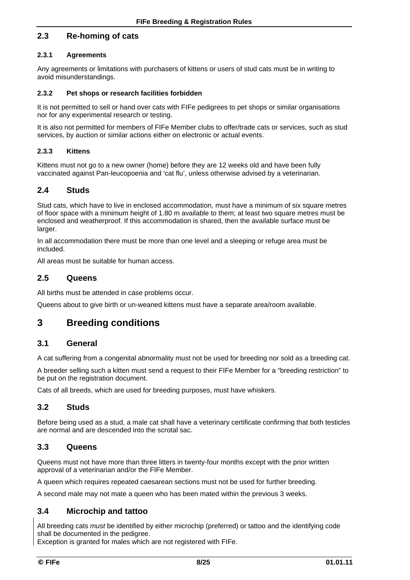# **2.3 Re-homing of cats**

#### **2.3.1 Agreements**

Any agreements or limitations with purchasers of kittens or users of stud cats must be in writing to avoid misunderstandings.

#### **2.3.2 Pet shops or research facilities forbidden**

It is not permitted to sell or hand over cats with FIFe pedigrees to pet shops or similar organisations nor for any experimental research or testing.

It is also not permitted for members of FIFe Member clubs to offer/trade cats or services, such as stud services, by auction or similar actions either on electronic or actual events.

#### **2.3.3 Kittens**

Kittens must not go to a new owner (home) before they are 12 weeks old and have been fully vaccinated against Pan-leucopoenia and 'cat flu', unless otherwise advised by a veterinarian.

### **2.4 Studs**

Stud cats, which have to live in enclosed accommodation, must have a minimum of six square metres of floor space with a minimum height of 1.80 m available to them; at least two square metres must be enclosed and weatherproof. If this accommodation is shared, then the available surface must be larger.

In all accommodation there must be more than one level and a sleeping or refuge area must be included.

All areas must be suitable for human access.

#### **2.5 Queens**

All births must be attended in case problems occur.

Queens about to give birth or un-weaned kittens must have a separate area/room available.

# **3 Breeding conditions**

# **3.1 General**

A cat suffering from a congenital abnormality must not be used for breeding nor sold as a breeding cat.

A breeder selling such a kitten must send a request to their FIFe Member for a "breeding restriction" to be put on the registration document.

Cats of all breeds, which are used for breeding purposes, must have whiskers.

#### **3.2 Studs**

Before being used as a stud, a male cat shall have a veterinary certificate confirming that both testicles are normal and are descended into the scrotal sac.

#### **3.3 Queens**

Queens must not have more than three litters in twenty-four months except with the prior written approval of a veterinarian and/or the FIFe Member.

A queen which requires repeated caesarean sections must not be used for further breeding.

A second male may not mate a queen who has been mated within the previous 3 weeks.

#### **3.4 Microchip and tattoo**

All breeding cats *must* be identified by either microchip (preferred) or tattoo and the identifying code shall be documented in the pedigree.

Exception is granted for males which are not registered with FIFe.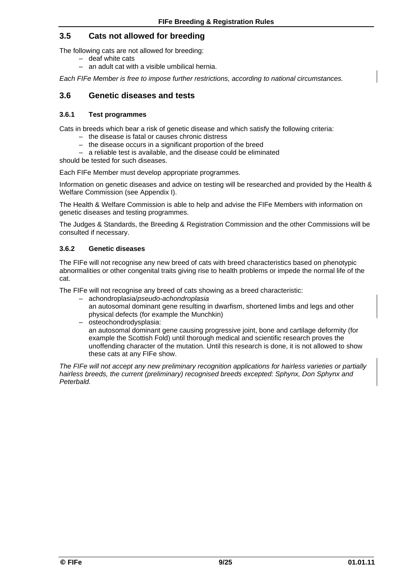# **3.5 Cats not allowed for breeding**

The following cats are not allowed for breeding:

- deaf white cats
- an adult cat with a visible umbilical hernia.

*Each FIFe Member is free to impose further restrictions, according to national circumstances.* 

### **3.6 Genetic diseases and tests**

#### **3.6.1 Test programmes**

Cats in breeds which bear a risk of genetic disease and which satisfy the following criteria:

- the disease is fatal or causes chronic distress
- the disease occurs in a significant proportion of the breed
- a reliable test is available, and the disease could be eliminated

should be tested for such diseases.

Each FIFe Member must develop appropriate programmes.

Information on genetic diseases and advice on testing will be researched and provided by the Health & Welfare Commission (see Appendix I).

The Health & Welfare Commission is able to help and advise the FIFe Members with information on genetic diseases and testing programmes.

The Judges & Standards, the Breeding & Registration Commission and the other Commissions will be consulted if necessary.

#### **3.6.2 Genetic diseases**

The FIFe will not recognise any new breed of cats with breed characteristics based on phenotypic abnormalities or other congenital traits giving rise to health problems or impede the normal life of the cat.

The FIFe will not recognise any breed of cats showing as a breed characteristic:

- achondroplasia/*pseudo-achondroplasia*
	- an autosomal dominant gene resulting in dwarfism, shortened limbs and legs and other physical defects (for example the Munchkin)
- osteochondrodysplasia:

an autosomal dominant gene causing progressive joint, bone and cartilage deformity (for example the Scottish Fold) until thorough medical and scientific research proves the unoffending character of the mutation. Until this research is done, it is not allowed to show these cats at any FIFe show.

*The FIFe will not accept any new preliminary recognition applications for hairless varieties or partially hairless breeds, the current (preliminary) recognised breeds excepted: Sphynx, Don Sphynx and Peterbald.*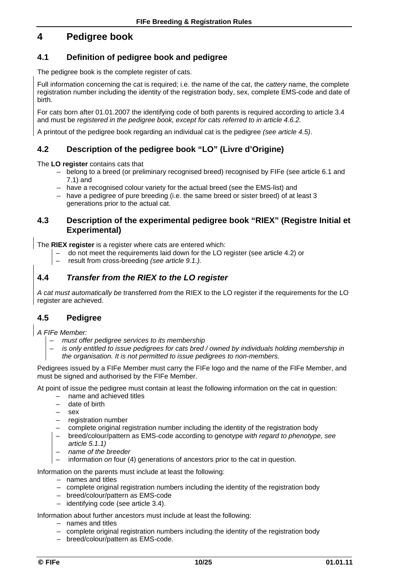# **4 Pedigree book**

# **4.1 Definition of pedigree book and pedigree**

The pedigree book is the complete register of cats.

Full information concerning the cat is required; i.e. the name of the cat, the *cattery* name, the complete registration number including the identity of the registration body, sex, complete EMS-code and date of birth.

For cats born after 01.01.2007 the identifying code of both parents is required according to article 3.4 and must be *registered in the pedigree book, except for cats referred to in article 4.6.2.*

A printout of the pedigree book regarding an individual cat is the pedigree *(see article 4.5)*.

# **4.2 Description of the pedigree book "LO" (Livre d'Origine)**

The **LO register** contains cats that

- belong to a breed (or preliminary recognised breed) recognised by FIFe (see article 6.1 and 7.1) and
- have a recognised colour variety for the actual breed (see the EMS-list) and
- have a pedigree of pure breeding (i.e. the same breed or sister breed) of at least 3 generations prior to the actual cat.

### **4.3 Description of the experimental pedigree book "RIEX" (Registre Initial et Experimental)**

The **RIEX register** is a register where cats are entered which:

- do not meet the requirements laid down for the LO register (see article 4.2) or
- result from cross-breeding *(see article 9.1.).*

# **4.4** *Transfer from the RIEX to the LO register*

*A cat must automatically be* transferred *from* the RIEX to the LO register if the requirements for the LO register are achieved.

# **4.5 Pedigree**

*A FIFe Member:* 

- *must offer pedigree services to its membership*
- *is only entitled to issue pedigrees for cats bred / owned by individuals holding membership in the organisation. It is not permitted to issue pedigrees to non-members.*

Pedigrees issued by a FIFe Member must carry the FIFe logo and the name of the FIFe Member, and must be signed and authorised by the FIFe Member.

At point of issue the pedigree must contain at least the following information on the cat in question:

- name and achieved titles
- date of birth
- sex
- registration number
- complete original registration number including the identity of the registration body
- breed/colour/pattern as EMS-code according to genotype *with regard to phenotype, see article 5.1.1)*
- *name of the breeder*
- information *on* four (4) generations of ancestors prior to the cat in question.

Information on the parents must include at least the following:

- names and titles
	- complete original registration numbers including the identity of the registration body
	- breed/colour/pattern as EMS-code
	- identifying code (see article 3.4).

Information about further ancestors must include at least the following:

- names and titles
- complete original registration numbers including the identity of the registration body
- breed/colour/pattern as EMS-code.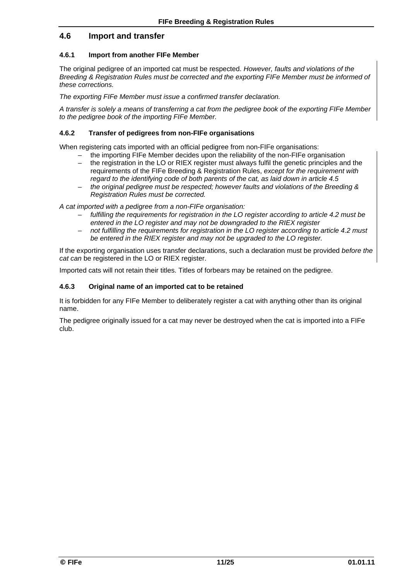# **4.6 Import and transfer**

#### **4.6.1 Import from another FIFe Member**

The original pedigree of an imported cat must be respected. *However, faults and violations of the Breeding & Registration Rules must be corrected and the exporting FIFe Member must be informed of these corrections.*

*The exporting FIFe Member must issue a confirmed transfer declaration.* 

*A transfer is solely a means of transferring a cat from the pedigree book of the exporting FIFe Member to the pedigree book of the importing FIFe Member.* 

#### **4.6.2 Transfer of pedigrees from non-FIFe organisations**

When registering cats imported with an official pedigree from non-FIFe organisations:

- the importing FIFe Member decides upon the reliability of the non-FIFe organisation
- the registration in the LO or RIEX register must always fulfil the genetic principles and the requirements of the FIFe Breeding & Registration Rules, *except for the requirement with regard to the identifying code of both parents of the cat, as laid down in article 4.5*
- *the original pedigree must be respected; however faults and violations of the Breeding & Registration Rules must be corrected.*

*A cat imported with a pedigree from a non-FIFe organisation:* 

- *fulfilling the requirements for registration in the LO register according to article 4.2 must be entered in the LO register and may not be downgraded to the RIEX register*
- *not fulfilling the requirements for registration in the LO register according to article 4.2 must be entered in the RIEX register and may not be upgraded to the LO register.*

If the exporting organisation uses transfer declarations, such a declaration must be provided *before the cat can* be registered in the LO or RIEX register.

Imported cats will not retain their titles. Titles of forbears may be retained on the pedigree.

#### **4.6.3 Original name of an imported cat to be retained**

It is forbidden for any FIFe Member to deliberately register a cat with anything other than its original name.

The pedigree originally issued for a cat may never be destroyed when the cat is imported into a FIFe club.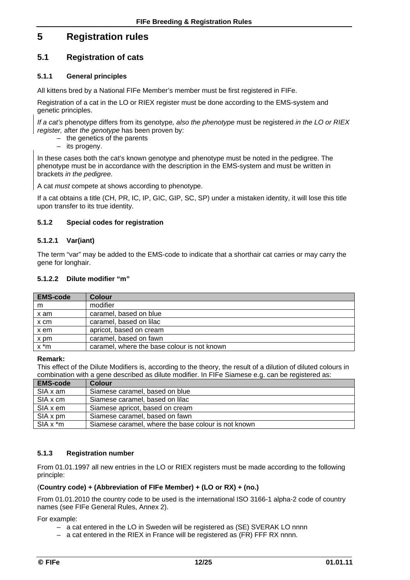# **5 Registration rules**

# **5.1 Registration of cats**

#### **5.1.1 General principles**

All kittens bred by a National FIFe Member's member must be first registered in FIFe.

Registration of a cat in the LO or RIEX register must be done according to the EMS-system and genetic principles.

*If a cat's* phenotype differs from its genotype*, also the phenotype* must be registered *in the LO or RIEX register,* after *the genotype* has been proven by:

- the genetics of the parents
- its progeny.

In these cases both the cat's known genotype and phenotype must be noted in the pedigree. The phenotype must be in accordance with the description in the EMS-system and must be written in brackets *in the pedigree.* 

A cat *must* compete at shows according to phenotype.

If a cat obtains a title (CH, PR, IC, IP, GIC, GIP, SC, SP) under a mistaken identity, it will lose this title upon transfer to its true identity.

#### **5.1.2 Special codes for registration**

#### **5.1.2.1 Var(iant)**

The term "var" may be added to the EMS-code to indicate that a shorthair cat carries or may carry the gene for longhair.

#### **5.1.2.2 Dilute modifier "m"**

| <b>EMS-code</b> | <b>Colour</b>                               |
|-----------------|---------------------------------------------|
| m               | modifier                                    |
| x am            | caramel, based on blue                      |
| x cm            | caramel, based on lilac                     |
| x em            | apricot, based on cream                     |
| x pm            | caramel, based on fawn                      |
| $x \cdot m$     | caramel, where the base colour is not known |

#### **Remark:**

This effect of the Dilute Modifiers is, according to the theory, the result of a dilution of diluted colours in combination with a gene described as dilute modifier. In FIFe Siamese e.g. can be registered as:

| <b>EMS-code</b> | Colour                                              |
|-----------------|-----------------------------------------------------|
| SIA x am        | Siamese caramel, based on blue                      |
| SIA x cm        | Siamese caramel, based on lilac                     |
| SIA x em        | Siamese apricot, based on cream                     |
| SIA x pm        | Siamese caramel, based on fawn                      |
| $SIA x * m$     | Siamese caramel, where the base colour is not known |

#### **5.1.3 Registration number**

From 01.01.1997 all new entries in the LO or RIEX registers must be made according to the following principle:

#### (**Country code) + (Abbreviation of FIFe Member) + (LO or RX) + (no.)**

From 01.01.2010 the country code to be used is the international ISO 3166-1 alpha-2 code of country names (see FIFe General Rules, Annex 2).

For example:

- a cat entered in the LO in Sweden will be registered as (SE) SVERAK LO nnnn
- a cat entered in the RIEX in France will be registered as (FR) FFF RX nnnn.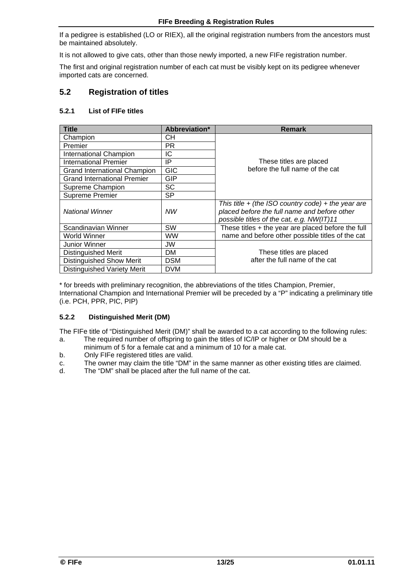If a pedigree is established (LO or RIEX), all the original registration numbers from the ancestors must be maintained absolutely.

It is not allowed to give cats, other than those newly imported, a new FIFe registration number.

The first and original registration number of each cat must be visibly kept on its pedigree whenever imported cats are concerned.

# **5.2 Registration of titles**

#### **5.2.1 List of FIFe titles**

| <b>Title</b>                        | Abbreviation* | <b>Remark</b>                                                                                                                                       |
|-------------------------------------|---------------|-----------------------------------------------------------------------------------------------------------------------------------------------------|
| Champion                            | CН            |                                                                                                                                                     |
| Premier                             | PR.           |                                                                                                                                                     |
| <b>International Champion</b>       | ΙC            |                                                                                                                                                     |
| <b>International Premier</b>        | IP            | These titles are placed                                                                                                                             |
| <b>Grand International Champion</b> | <b>GIC</b>    | before the full name of the cat                                                                                                                     |
| <b>Grand International Premier</b>  | <b>GIP</b>    |                                                                                                                                                     |
| Supreme Champion                    | <b>SC</b>     |                                                                                                                                                     |
| <b>Supreme Premier</b>              | SP            |                                                                                                                                                     |
| <b>National Winner</b>              | NW            | This title $+$ (the ISO country code) $+$ the year are<br>placed before the full name and before other<br>possible titles of the cat, e.g. NW(IT)11 |
| Scandinavian Winner                 | <b>SW</b>     | These titles + the year are placed before the full                                                                                                  |
| World Winner                        | WW.           | name and before other possible titles of the cat                                                                                                    |
| <b>Junior Winner</b>                | JW            |                                                                                                                                                     |
| <b>Distinguished Merit</b>          | DM            | These titles are placed                                                                                                                             |
| <b>Distinguished Show Merit</b>     | <b>DSM</b>    | after the full name of the cat                                                                                                                      |
| <b>Distinguished Variety Merit</b>  | <b>DVM</b>    |                                                                                                                                                     |

\* for breeds with preliminary recognition, the abbreviations of the titles Champion, Premier, International Champion and International Premier will be preceded by a "P" indicating a preliminary title (i.e. PCH, PPR, PIC, PIP)

#### **5.2.2 Distinguished Merit (DM)**

The FIFe title of "Distinguished Merit (DM)" shall be awarded to a cat according to the following rules:

- a. The required number of offspring to gain the titles of IC/IP or higher or DM should be a minimum of 5 for a female cat and a minimum of 10 for a male cat.
- b. Only FIFe registered titles are valid.
- c. The owner may claim the title "DM" in the same manner as other existing titles are claimed.
- d. The "DM" shall be placed after the full name of the cat.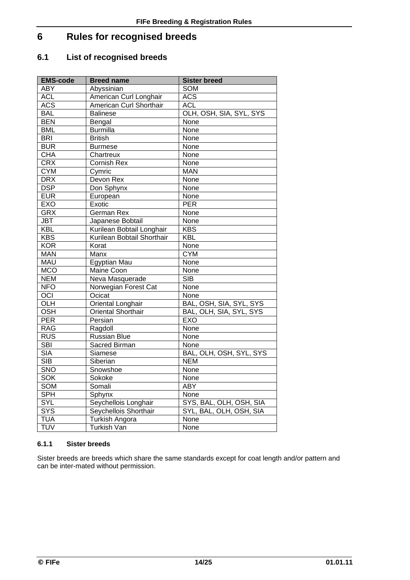# **6 Rules for recognised breeds**

# **6.1 List of recognised breeds**

| <b>EMS-code</b>         | <b>Breed name</b>          | <b>Sister breed</b>        |
|-------------------------|----------------------------|----------------------------|
| ABY                     | Abyssinian                 | <b>SOM</b>                 |
| <b>ACL</b>              | American Curl Longhair     | ACS                        |
| <b>ACS</b>              | American Curl Shorthair    | <b>ACL</b>                 |
| <b>BAL</b>              | <b>Balinese</b>            | OLH, OSH, SIA, SYL, SYS    |
| <b>BEN</b>              | Bengal                     | None                       |
| <b>BML</b>              | <b>Burmilla</b>            | $\overline{\mathsf{None}}$ |
| <b>BRI</b>              | <b>British</b>             | None                       |
| <b>BUR</b>              | <b>Burmese</b>             | None                       |
| CHA                     | Chartreux                  | None                       |
| <b>CRX</b>              | Cornish Rex                | None                       |
| <b>CYM</b>              | Cymric                     | <b>MAN</b>                 |
| <b>DRX</b>              | Devon Rex                  | None                       |
| <b>DSP</b>              | Don Sphynx                 | None                       |
| <b>EUR</b>              | European                   | None                       |
| <b>EXO</b>              | Exotic                     | <b>PER</b>                 |
| <b>GRX</b>              | German Rex                 | None                       |
| <b>JBT</b>              | Japanese Bobtail           | $\overline{\mathsf{None}}$ |
| <b>KBL</b>              | Kurilean Bobtail Longhair  | <b>KBS</b>                 |
| <b>KBS</b>              | Kurilean Bobtail Shorthair | <b>KBL</b>                 |
| <b>KOR</b>              | Korat                      | None                       |
| <b>MAN</b>              | Manx                       | <b>CYM</b>                 |
| MAU                     | Egyptian Mau               | None                       |
| <b>MCO</b>              | <b>Maine Coon</b>          | None                       |
| <b>NEM</b>              | Neva Masquerade            | $\overline{\text{SIB}}$    |
| <b>NFO</b>              | Norwegian Forest Cat       | None                       |
| $\overline{OCI}$        | Ocicat                     | None                       |
| OLH                     | <b>Oriental Longhair</b>   | BAL, OSH, SIA, SYL, SYS    |
| $\overline{\text{OSH}}$ | <b>Oriental Shorthair</b>  | BAL, OLH, SIA, SYL, SYS    |
| PER                     | Persian                    | <b>EXO</b>                 |
| <b>RAG</b>              | Ragdoll                    | None                       |
| RUS                     | <b>Russian Blue</b>        | None                       |
| $\overline{\text{SB}}$  | Sacred Birman              | None                       |
| <b>SIA</b>              | Siamese                    | BAL, OLH, OSH, SYL, SYS    |
| $\overline{\text{SIB}}$ | Siberian                   | <b>NEM</b>                 |
| <b>SNO</b>              | Snowshoe                   | None                       |
| <b>SOK</b>              | Sokoke                     | None                       |
| <b>SOM</b>              | Somali                     | <b>ABY</b>                 |
| <b>SPH</b>              | Sphynx                     | None                       |
| <b>SYL</b>              | Seychellois Longhair       | SYS, BAL, OLH, OSH, SIA    |
| <b>SYS</b>              | Seychellois Shorthair      | SYL, BAL, OLH, OSH, SIA    |
| <b>TUA</b>              | <b>Turkish Angora</b>      | None                       |
| TUV                     | <b>Turkish Van</b>         | None                       |

### **6.1.1 Sister breeds**

Sister breeds are breeds which share the same standards except for coat length and/or pattern and can be inter-mated without permission.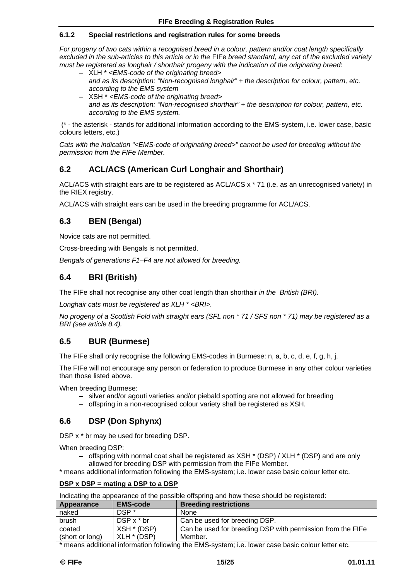#### **6.1.2 Special restrictions and registration rules for some breeds**

*For progeny of two cats within a recognised breed in a colour, pattern and/or coat length specifically excluded in the sub-articles to this article or in the* FIFe *breed standard, any cat of the excluded variety must be registered as longhair / shorthair progeny with the indication of the originating breed*:

- XLH \* *<EMS-code of the originating breed> and as its description: "Non-recognised longhair" + the description for colour, pattern, etc. according to the EMS system*
- XSH \* *<EMS-code of the originating breed> and as its description: "Non-recognised shorthair" + the description for colour, pattern, etc. according to the EMS system.*

 (\* - the asterisk - stands for additional information according to the EMS-system, i.e. lower case, basic colours letters, etc.)

*Cats with the indication "<EMS-code of originating breed>" cannot be used for breeding without the permission from the FIFe Member.* 

# **6.2 ACL/ACS (American Curl Longhair and Shorthair)**

ACL/ACS with straight ears are to be registered as ACL/ACS x \* 71 (i.e. as an unrecognised variety) in the RIEX registry.

ACL/ACS with straight ears can be used in the breeding programme for ACL/ACS.

# **6.3 BEN (Bengal)**

Novice cats are not permitted.

Cross-breeding with Bengals is not permitted.

*Bengals of generations F1–F4 are not allowed for breeding.* 

# **6.4 BRI (British)**

The FIFe shall not recognise any other coat length than shorthair *in the British (BRI).* 

*Longhair cats must be registered as XLH \* <BRI>.* 

*No progeny of a Scottish Fold with straight ears (SFL non \* 71 / SFS non \* 71) may be registered as a BRI (see article 8.4).*

# **6.5 BUR (Burmese)**

The FIFe shall only recognise the following EMS-codes in Burmese: n, a, b, c, d, e, f, g, h, j.

The FIFe will not encourage any person or federation to produce Burmese in any other colour varieties than those listed above.

When breeding Burmese:

- silver and/or agouti varieties and/or piebald spotting are not allowed for breeding
- offspring in a non-recognised colour variety shall be registered as XSH*.*

# **6.6 DSP (Don Sphynx)**

DSP x  $*$  br may be used for breeding DSP.

When breeding DSP:

– offspring with normal coat shall be registered as XSH \* (DSP) / XLH \* (DSP) and are only allowed for breeding DSP with permission from the FIFe Member.

\* means additional information following the EMS-system; i.e. lower case basic colour letter etc.

#### **DSP x DSP = mating a DSP to a DSP**

Indicating the appearance of the possible offspring and how these should be registered:

| Appearance      | <b>EMS-code</b>  | <b>Breeding restrictions</b>                               |
|-----------------|------------------|------------------------------------------------------------|
| naked           | DSP <sup>*</sup> | None                                                       |
| brush           | $DSP x * br$     | Can be used for breeding DSP.                              |
| coated          | XSH * (DSP)      | Can be used for breeding DSP with permission from the FIFe |
| (short or long) | XLH * (DSP)      | Member.                                                    |
| 1.11.1          |                  | $\cdots$ $\cdots$<br>.                                     |

\* means additional information following the EMS-system; i.e. lower case basic colour letter etc.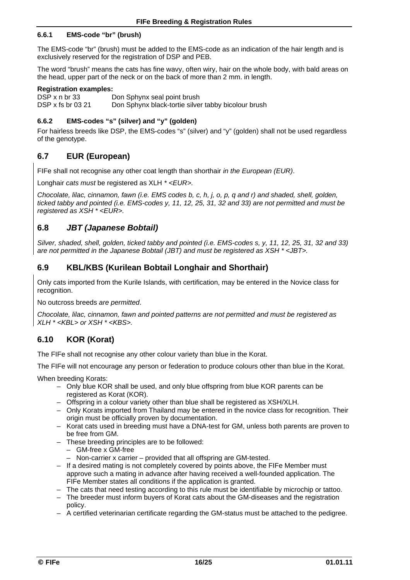#### **6.6.1 EMS-code "br" (brush)**

The EMS-code "br" (brush) must be added to the EMS-code as an indication of the hair length and is exclusively reserved for the registration of DSP and PEB.

The word "brush" means the cats has fine wavy, often wiry, hair on the whole body, with bald areas on the head, upper part of the neck or on the back of more than 2 mm. in length.

#### **Registration examples:**

DSP x n br 33 Don Sphynx seal point brush<br>DSP x fs br 03 21 Don Sphynx black-tortie silve Don Sphynx black-tortie silver tabby bicolour brush

#### **6.6.2 EMS-codes "s" (silver) and "y" (golden)**

For hairless breeds like DSP, the EMS-codes "s" (silver) and "y" (golden) shall not be used regardless of the genotype.

# **6.7 EUR (European)**

FIFe shall not recognise any other coat length than shorthair *in the European (EUR)*.

Longhair *cats must* be registered as XLH *\* <EUR>.* 

*Chocolate, lilac, cinnamon, fawn (i.e. EMS codes b, c, h, j, o, p, q and r) and shaded, shell, golden, ticked tabby and pointed (i.e. EMS-codes y, 11, 12, 25, 31, 32 and 33) are not permitted and must be registered as XSH \* <EUR>.* 

# **6.8** *JBT (Japanese Bobtail)*

*Silver, shaded, shell, golden, ticked tabby and pointed (i.e. EMS-codes s, y, 11, 12, 25, 31, 32 and 33) are not permitted in the Japanese Bobtail (JBT) and must be registered as XSH \* <JBT>.* 

# **6.9 KBL/KBS (Kurilean Bobtail Longhair and Shorthair)**

Only cats imported from the Kurile Islands, with certification, may be entered in the Novice class for recognition.

No outcross breeds *are permitted*.

*Chocolate, lilac, cinnamon, fawn and pointed patterns are not permitted and must be registered as XLH \* <KBL> or XSH \* <KBS>.* 

# **6.10 KOR (Korat)**

The FIFe shall not recognise any other colour variety than blue in the Korat.

The FIFe will not encourage any person or federation to produce colours other than blue in the Korat.

When breeding Korats:

- Only blue KOR shall be used, and only blue offspring from blue KOR parents can be registered as Korat (KOR).
- Offspring in a colour variety other than blue shall be registered as XSH/XLH.
- Only Korats imported from Thailand may be entered in the novice class for recognition. Their origin must be officially proven by documentation.
- Korat cats used in breeding must have a DNA-test for GM, unless both parents are proven to be free from GM.
- These breeding principles are to be followed:
	- GM-free x GM-free
	- Non-carrier x carrier provided that all offspring are GM-tested.
- If a desired mating is not completely covered by points above, the FIFe Member must approve such a mating in advance after having received a well-founded application. The FIFe Member states all conditions if the application is granted.
- The cats that need testing according to this rule must be identifiable by microchip or tattoo.
- The breeder must inform buyers of Korat cats about the GM-diseases and the registration policy.
- A certified veterinarian certificate regarding the GM-status must be attached to the pedigree.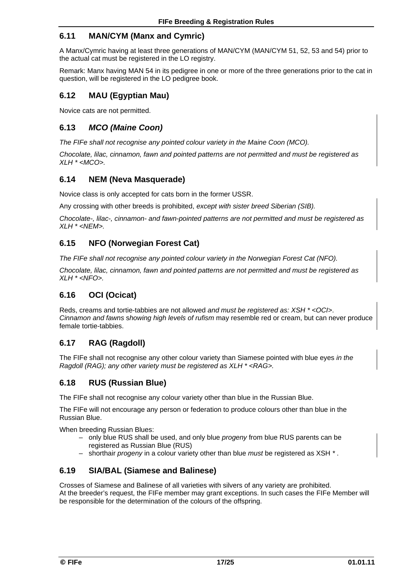# **6.11 MAN/CYM (Manx and Cymric)**

A Manx/Cymric having at least three generations of MAN/CYM (MAN/CYM 51, 52, 53 and 54) prior to the actual cat must be registered in the LO registry.

Remark: Manx having MAN 54 in its pedigree in one or more of the three generations prior to the cat in question, will be registered in the LO pedigree book.

# **6.12 MAU (Egyptian Mau)**

Novice cats are not permitted.

# **6.13** *MCO (Maine Coon)*

*The FIFe shall not recognise any pointed colour variety in the Maine Coon (MCO).* 

*Chocolate, lilac, cinnamon, fawn and pointed patterns are not permitted and must be registered as XLH \* <MCO>.* 

# **6.14 NEM (Neva Masquerade)**

Novice class is only accepted for cats born in the former USSR.

Any crossing with other breeds is prohibited, *except with sister breed Siberian (SIB).* 

*Chocolate-, lilac-, cinnamon- and fawn-pointed patterns are not permitted and must be registered as XLH \* <NEM>.* 

# **6.15 NFO (Norwegian Forest Cat)**

*The FIFe shall not recognise any pointed colour variety in the Norwegian Forest Cat (NFO).* 

*Chocolate, lilac, cinnamon, fawn and pointed patterns are not permitted and must be registered as XLH \* <NFO>.* 

# **6.16 OCI (Ocicat)**

Reds, creams and tortie-tabbies are not allowed *and must be registered as: XSH \* <OCI>*. *Cinnamon and fawns* s*howing high levels of rufism* may resemble red or cream, but can never produce female tortie-tabbies.

# **6.17 RAG (Ragdoll)**

The FIFe shall not recognise any other colour variety than Siamese pointed with blue eyes *in the Ragdoll (RAG); any other variety must be registered as XLH \* <RAG>.* 

# **6.18 RUS (Russian Blue)**

The FIFe shall not recognise any colour variety other than blue in the Russian Blue.

The FIFe will not encourage any person or federation to produce colours other than blue in the Russian Blue.

When breeding Russian Blues:

- only blue RUS shall be used, and only blue *progeny* from blue RUS parents can be registered as Russian Blue (RUS)
- shorthair *progeny* in a colour variety other than blue *must* be registered as XSH *\** .

# **6.19 SIA/BAL (Siamese and Balinese)**

Crosses of Siamese and Balinese of all varieties with silvers of any variety are prohibited. At the breeder's request, the FIFe member may grant exceptions. In such cases the FIFe Member will be responsible for the determination of the colours of the offspring.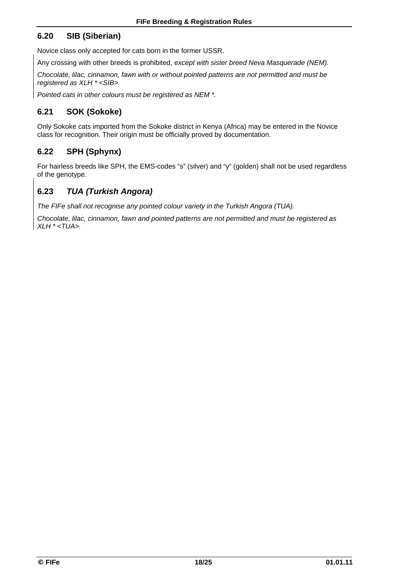# **6.20 SIB (Siberian)**

Novice class only accepted for cats born in the former USSR.

Any crossing with other breeds is prohibited, *except with sister breed Neva Masquerade (NEM).*

*Chocolate, lilac, cinnamon, fawn with or without pointed patterns are not permitted and must be registered as XLH \* <SIB>.* 

*Pointed cats in other colours must be registered as NEM \*.* 

# **6.21 SOK (Sokoke)**

Only Sokoke cats imported from the Sokoke district in Kenya (Africa) may be entered in the Novice class for recognition. Their origin must be officially proved by documentation.

# **6.22 SPH (Sphynx)**

For hairless breeds like SPH, the EMS-codes "s" (silver) and "y" (golden) shall not be used regardless of the genotype.

# **6.23** *TUA (Turkish Angora)*

*The FIFe shall not recognise any pointed colour variety in the Turkish Angora (TUA).* 

*Chocolate, lilac, cinnamon, fawn and pointed patterns are not permitted and must be registered as XLH \* <TUA>.*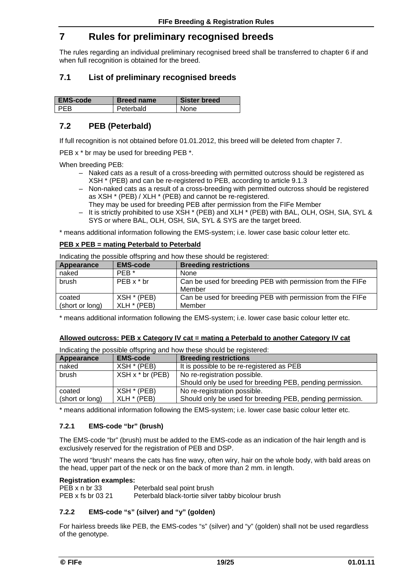# **7 Rules for preliminary recognised breeds**

The rules regarding an individual preliminary recognised breed shall be transferred to chapter 6 if and when full recognition is obtained for the breed.

# **7.1 List of preliminary recognised breeds**

| <b>EMS-code</b> | <b>Breed name</b> | <b>Sister breed</b> |
|-----------------|-------------------|---------------------|
| DFR.            | Peterbald         | None                |

# **7.2 PEB (Peterbald)**

If full recognition is not obtained before 01.01.2012, this breed will be deleted from chapter 7.

PEB x  $*$  br may be used for breeding PEB  $*$ .

When breeding PEB:

- Naked cats as a result of a cross-breeding with permitted outcross should be registered as XSH \* (PEB) and can be re-registered to PEB, according to article 9.1.3
- Non-naked cats as a result of a cross-breeding with permitted outcross should be registered as XSH \* (PEB) / XLH \* (PEB) and cannot be re-registered.
- They may be used for breeding PEB after permission from the FIFe Member – It is strictly prohibited to use XSH \* (PEB) and XLH \* (PEB) with BAL, OLH, OSH, SIA, SYL & SYS or where BAL, OLH, OSH, SIA, SYL & SYS are the target breed.

\* means additional information following the EMS-system; i.e. lower case basic colour letter etc.

### **PEB x PEB = mating Peterbald to Peterbald**

Indicating the possible offspring and how these should be registered:

| <b>Appearance</b>         | <b>EMS-code</b>            | <b>Breeding restrictions</b>                                         |
|---------------------------|----------------------------|----------------------------------------------------------------------|
| naked                     | PFR <sup>*</sup>           | None                                                                 |
| brush                     | $PEB x * br$               | Can be used for breeding PEB with permission from the FIFe<br>Member |
| coated<br>(short or long) | XSH * (PEB)<br>XLH * (PEB) | Can be used for breeding PEB with permission from the FIFe<br>Member |

\* means additional information following the EMS-system; i.e. lower case basic colour letter etc.

#### **Allowed outcross: PEB x Category IV cat = mating a Peterbald to another Category IV cat**

Indicating the possible offspring and how these should be registered:

| <b>Appearance</b> | <b>EMS-code</b>    | <b>Breeding restrictions</b>                              |
|-------------------|--------------------|-----------------------------------------------------------|
| naked             | $XSH * (PEB)$      | It is possible to be re-registered as PEB                 |
| brush             | $XSH x * br (PEB)$ | No re-registration possible.                              |
|                   |                    | Should only be used for breeding PEB, pending permission. |
| coated            | XSH * (PEB)        | No re-registration possible.                              |
| (short or long)   | $XLH*(PEB)$        | Should only be used for breeding PEB, pending permission. |

\* means additional information following the EMS-system; i.e. lower case basic colour letter etc.

#### **7.2.1 EMS-code "br" (brush)**

The EMS-code "br" (brush) must be added to the EMS-code as an indication of the hair length and is exclusively reserved for the registration of PEB and DSP.

The word "brush" means the cats has fine wavy, often wiry, hair on the whole body, with bald areas on the head, upper part of the neck or on the back of more than 2 mm. in length.

#### **Registration examples:**

PEB x n br 33 Peterbald seal point brush<br>PEB x fs br 03.21 Peterbald black-tortie silve Peterbald black-tortie silver tabby bicolour brush

#### **7.2.2 EMS-code "s" (silver) and "y" (golden)**

For hairless breeds like PEB, the EMS-codes "s" (silver) and "y" (golden) shall not be used regardless of the genotype.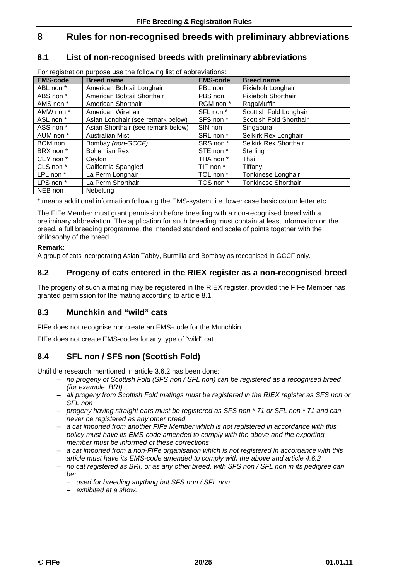# **8 Rules for non-recognised breeds with preliminary abbreviations**

# **8.1 List of non-recognised breeds with preliminary abbreviations**

| i or registration purpose use the following list or abbreviations. |                                    |                 |                            |  |  |
|--------------------------------------------------------------------|------------------------------------|-----------------|----------------------------|--|--|
| <b>EMS-code</b>                                                    | <b>Breed name</b>                  | <b>EMS-code</b> | <b>Breed name</b>          |  |  |
| ABL non *                                                          | American Bobtail Longhair          | PBL non         | Pixiebob Longhair          |  |  |
| ABS non *                                                          | American Bobtail Shorthair         | PBS non         | Pixiebob Shorthair         |  |  |
| AMS non *                                                          | American Shorthair                 | RGM non *       | RagaMuffin                 |  |  |
| AMW non *                                                          | American Wirehair                  | SFL non *       | Scottish Fold Longhair     |  |  |
| ASL non *                                                          | Asian Longhair (see remark below)  | SFS non *       | Scottish Fold Shorthair    |  |  |
| ASS non *                                                          | Asian Shorthair (see remark below) | SIN non         | Singapura                  |  |  |
| AUM non *                                                          | <b>Australian Mist</b>             | SRL non *       | Selkirk Rex Longhair       |  |  |
| BOM non                                                            | Bombay (non-GCCF)                  | SRS non *       | Selkirk Rex Shorthair      |  |  |
| BRX non *                                                          | Bohemian Rex                       | STE non *       | Sterling                   |  |  |
| CEY non *                                                          | Cevlon                             | THA non *       | Thai                       |  |  |
| CLS non *                                                          | California Spangled                | TIF non *       | Tiffanv                    |  |  |
| LPL non *                                                          | La Perm Longhair                   | TOL non *       | Tonkinese Longhair         |  |  |
| LPS non *                                                          | La Perm Shorthair                  | TOS non *       | <b>Tonkinese Shorthair</b> |  |  |
| NEB non                                                            | <b>Nebelung</b>                    |                 |                            |  |  |

For registration purpose use the following list of abbreviations:

\* means additional information following the EMS-system; i.e. lower case basic colour letter etc.

The FIFe Member must grant permission before breeding with a non-recognised breed with a preliminary abbreviation. The application for such breeding must contain at least information on the breed, a full breeding programme, the intended standard and scale of points together with the philosophy of the breed.

#### **Remark**:

A group of cats incorporating Asian Tabby, Burmilla and Bombay as recognised in GCCF only.

# **8.2 Progeny of cats entered in the RIEX register as a non-recognised breed**

The progeny of such a mating may be registered in the RIEX register, provided the FIFe Member has granted permission for the mating according to article 8.1.

# **8.3 Munchkin and "wild" cats**

FIFe does not recognise nor create an EMS-code for the Munchkin.

FIFe does not create EMS-codes for any type of "wild" cat.

# **8.4 SFL non / SFS non (Scottish Fold)**

Until the research mentioned in article 3.6.2 has been done:

- *no progeny of Scottish Fold (SFS non / SFL non) can be registered as a recognised breed (for example: BRI)*
- *all progeny from Scottish Fold matings must be registered in the RIEX register as SFS non or SFL non*
- *progeny having straight ears must be registered as SFS non \* 71 or SFL non \* 71 and can never be registered as any other breed*
- *a cat imported from another FIFe Member which is not registered in accordance with this policy must have its EMS-code amended to comply with the above and the exporting member must be informed of these corrections*
- *a cat imported from a non-FIFe organisation which is not registered in accordance with this article must have its EMS-code amended to comply with the above and article 4.6.2*
- *no cat registered as BRI, or as any other breed, with SFS non / SFL non in its pedigree can be:* 
	- *used for breeding anything but SFS non / SFL non*
	- *exhibited at a show.*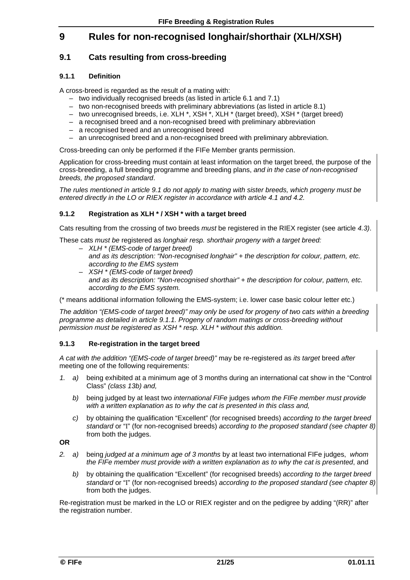# **9 Rules for non-recognised longhair/shorthair (XLH/XSH)**

# **9.1 Cats resulting from cross-breeding**

#### **9.1.1 Definition**

A cross-breed is regarded as the result of a mating with:

- two individually recognised breeds (as listed in article 6.1 and 7.1)
- two non-recognised breeds with preliminary abbreviations (as listed in article 8.1)
- two unrecognised breeds, i.e. XLH \*, XSH \*, XLH \* (target breed), XSH \* (target breed)
- a recognised breed and a non-recognised breed with preliminary abbreviation
- a recognised breed and an unrecognised breed
- an unrecognised breed and a non-recognised breed with preliminary abbreviation.

Cross-breeding can only be performed if the FIFe Member grants permission.

Application for cross-breeding must contain at least information on the target breed, the purpose of the cross-breeding, a full breeding programme and breeding plans, *and in the case of non-recognised breeds, the proposed standard*.

*The rules mentioned in article 9.1 do not apply to mating with sister breeds, which progeny must be entered directly in the LO or RIEX register in accordance with article 4.1 and 4.2.* 

#### **9.1.2 Registration as XLH \* / XSH \* with a target breed**

Cats resulting from the crossing of two breeds *must* be registered in the RIEX register (see article *4.3)*.

These cats *must be* registered as *longhair resp. shorthair progeny with a target breed:*

- *XLH \* (EMS-code of target breed) and as its description: "Non-recognised longhair" + the description for colour, pattern, etc. according to the EMS system*
- *XSH \* (EMS-code of target breed) and as its description: "Non-recognised shorthair" + the description for colour, pattern, etc. according to the EMS system.*

(\* means additional information following the EMS-system; i.e. lower case basic colour letter etc.)

*The addition "(EMS-code of target breed)" may only be used for progeny of two cats within a breeding programme as detailed in article 9.1.1. Progeny of random matings or cross-breeding without permission must be registered as XSH \* resp. XLH \* without this addition.* 

#### **9.1.3 Re-registration in the target breed**

*A cat with the addition "(EMS-code of target breed)"* may be re-registered as *its target* breed *after* meeting one of the following requirements:

- *1. a)* being exhibited at a minimum age of 3 months during an international cat show in the "Control Class" *(class 13b) and,*
	- *b)* being judged by at least two *international FIFe* judges *whom the FIFe member must provide with a written explanation as to why the cat is presented in this class and,*
	- *c)* by obtaining the qualification "Excellent" (for recognised breeds) *according to the target breed standard* or "" (for non-recognised breeds) *according to the proposed standard (see chapter 8)*  from both the judges.

**OR** 

- *2. a)* being *judged at a minimum age of 3 months* by at least two international FIFe judges, *whom the FIFe member must provide with a written explanation as to why the cat is presented*, and
	- *b)* by obtaining the qualification "Excellent" (for recognised breeds) *according to the target breed standard* or "" (for non-recognised breeds) *according to the proposed standard (see chapter 8)*  from both the judges.

Re-registration must be marked in the LO or RIEX register and on the pedigree by adding "(RR)" after the registration number.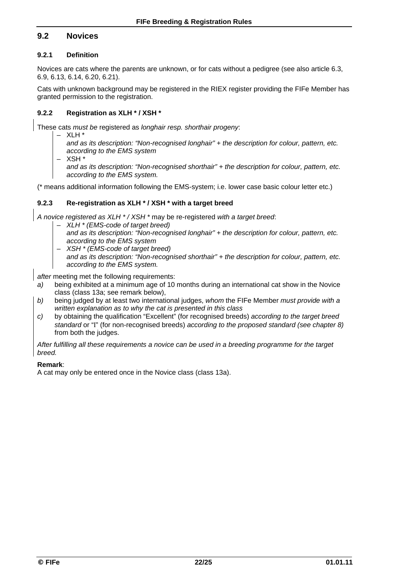### **9.2 Novices**

#### **9.2.1 Definition**

Novices are cats where the parents are unknown, or for cats without a pedigree (see also article 6.3, 6.9, 6.13, 6.14, 6.20, 6.21).

Cats with unknown background may be registered in the RIEX register providing the FIFe Member has granted permission to the registration.

#### **9.2.2 Registration as XLH \* / XSH \***

These cats *must be* registered as *longhair resp. shorthair progeny*:

– XLH \*

*and as its description: "Non-recognised longhair" + the description for colour, pattern, etc. according to the EMS system* 

– XSH \*

*and as its description: "Non-recognised shorthair" + the description for colour, pattern, etc. according to the EMS system.* 

(\* means additional information following the EMS-system; i.e. lower case basic colour letter etc.)

#### **9.2.3 Re-registration as XLH \* / XSH \* with a target breed**

*A novice registered as XLH \* / XSH \** may be re-registered *with a target breed*:

- *XLH \* (EMS-code of target breed)* 
	- *and as its description: "Non-recognised longhair" + the description for colour, pattern, etc. according to the EMS system*
	- *XSH \* (EMS-code of target breed) and as its description: "Non-recognised shorthair" + the description for colour, pattern, etc. according to the EMS system.*

*after* meeting met the following requirements:

- *a)* being exhibited at a minimum age of 10 months during an international cat show in the Novice class (class 13a; see remark below),
- *b)* being judged by at least two international judges, *whom* the FIFe Member *must provide with a written explanation as to why the cat is presented in this class*
- *c)* by obtaining the qualification "Excellent" (for recognised breeds) *according to the target breed standard* or "" (for non-recognised breeds) *according to the proposed standard (see chapter 8)*  from both the judges.

*After fulfilling all these requirements a novice can be used in a breeding programme for the target breed.* 

#### **Remark**:

A cat may only be entered once in the Novice class (class 13a).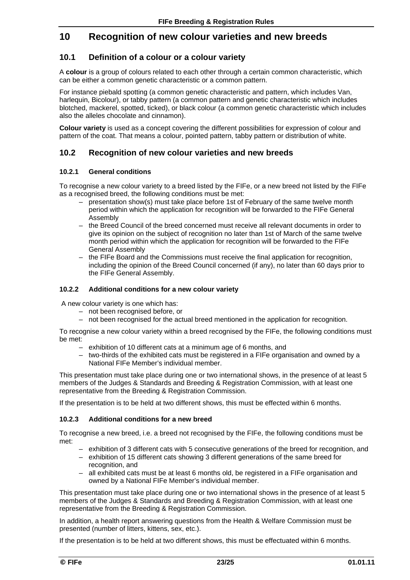# **10 Recognition of new colour varieties and new breeds**

# **10.1 Definition of a colour or a colour variety**

A **colour** is a group of colours related to each other through a certain common characteristic, which can be either a common genetic characteristic or a common pattern.

For instance piebald spotting (a common genetic characteristic and pattern, which includes Van, harlequin, Bicolour), or tabby pattern (a common pattern and genetic characteristic which includes blotched, mackerel, spotted, ticked), or black colour (a common genetic characteristic which includes also the alleles chocolate and cinnamon).

**Colour variety** is used as a concept covering the different possibilities for expression of colour and pattern of the coat. That means a colour, pointed pattern, tabby pattern or distribution of white.

# **10.2 Recognition of new colour varieties and new breeds**

#### **10.2.1 General conditions**

To recognise a new colour variety to a breed listed by the FIFe, or a new breed not listed by the FIFe as a recognised breed, the following conditions must be met:

- presentation show(s) must take place before 1st of February of the same twelve month period within which the application for recognition will be forwarded to the FIFe General **Assembly**
- the Breed Council of the breed concerned must receive all relevant documents in order to give its opinion on the subject of recognition no later than 1st of March of the same twelve month period within which the application for recognition will be forwarded to the FIFe General Assembly
- the FIFe Board and the Commissions must receive the final application for recognition, including the opinion of the Breed Council concerned (if any), no later than 60 days prior to the FIFe General Assembly.

#### **10.2.2 Additional conditions for a new colour variety**

A new colour variety is one which has:

- not been recognised before, or
- not been recognised for the actual breed mentioned in the application for recognition.

To recognise a new colour variety within a breed recognised by the FIFe, the following conditions must be met:

- exhibition of 10 different cats at a minimum age of 6 months, and
- two-thirds of the exhibited cats must be registered in a FIFe organisation and owned by a National FIFe Member's individual member.

This presentation must take place during one or two international shows, in the presence of at least 5 members of the Judges & Standards and Breeding & Registration Commission, with at least one representative from the Breeding & Registration Commission.

If the presentation is to be held at two different shows, this must be effected within 6 months.

#### **10.2.3 Additional conditions for a new breed**

To recognise a new breed, i.e. a breed not recognised by the FIFe, the following conditions must be met:

- exhibition of 3 different cats with 5 consecutive generations of the breed for recognition, and
- exhibition of 15 different cats showing 3 different generations of the same breed for recognition, and
- all exhibited cats must be at least 6 months old, be registered in a FIFe organisation and owned by a National FIFe Member's individual member.

This presentation must take place during one or two international shows in the presence of at least 5 members of the Judges & Standards and Breeding & Registration Commission, with at least one representative from the Breeding & Registration Commission.

In addition, a health report answering questions from the Health & Welfare Commission must be presented (number of litters, kittens, sex, etc.).

If the presentation is to be held at two different shows, this must be effectuated within 6 months.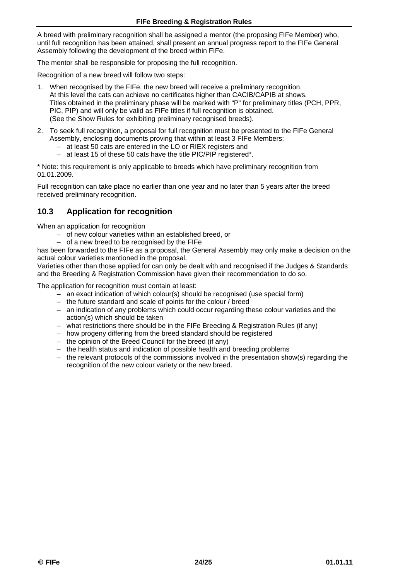A breed with preliminary recognition shall be assigned a mentor (the proposing FIFe Member) who, until full recognition has been attained, shall present an annual progress report to the FIFe General Assembly following the development of the breed within FIFe.

The mentor shall be responsible for proposing the full recognition.

Recognition of a new breed will follow two steps:

- 1. When recognised by the FIFe, the new breed will receive a preliminary recognition. At this level the cats can achieve no certificates higher than CACIB/CAPIB at shows. Titles obtained in the preliminary phase will be marked with "P" for preliminary titles (PCH, PPR, PIC, PIP) and will only be valid as FIFe titles if full recognition is obtained. (See the Show Rules for exhibiting preliminary recognised breeds).
- 2. To seek full recognition, a proposal for full recognition must be presented to the FIFe General Assembly, enclosing documents proving that within at least 3 FIFe Members:
	- at least 50 cats are entered in the LO or RIEX registers and
	- at least 15 of these 50 cats have the title PIC/PIP registered\*.

\* Note: this requirement is only applicable to breeds which have preliminary recognition from 01.01.2009.

Full recognition can take place no earlier than one year and no later than 5 years after the breed received preliminary recognition.

# **10.3 Application for recognition**

When an application for recognition

- of new colour varieties within an established breed, or
- of a new breed to be recognised by the FIFe

has been forwarded to the FIFe as a proposal, the General Assembly may only make a decision on the actual colour varieties mentioned in the proposal.

Varieties other than those applied for can only be dealt with and recognised if the Judges & Standards and the Breeding & Registration Commission have given their recommendation to do so.

The application for recognition must contain at least:

- an exact indication of which colour(s) should be recognised (use special form)
- the future standard and scale of points for the colour / breed
- an indication of any problems which could occur regarding these colour varieties and the action(s) which should be taken
- what restrictions there should be in the FIFe Breeding & Registration Rules (if any)
- how progeny differing from the breed standard should be registered
- the opinion of the Breed Council for the breed (if any)
- the health status and indication of possible health and breeding problems
- the relevant protocols of the commissions involved in the presentation show(s) regarding the recognition of the new colour variety or the new breed.